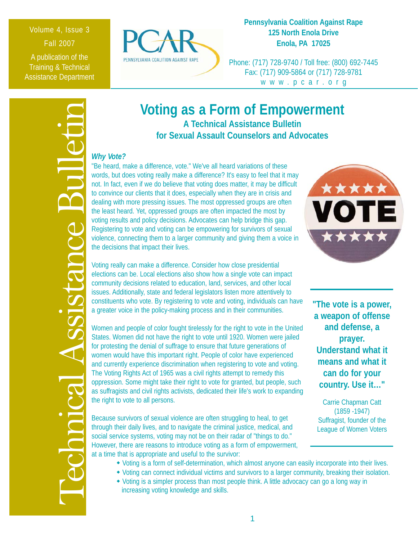## Volume 4, Issue 3 Fall 2007

A publication of the Training & Technical Assistance Department



## **Pennsylvania Coalition Against Rape 125 North Enola Drive Enola, PA 17025**

Phone: (717) 728-9740 / Toll free: (800) 692-7445 Fax: (717) 909-5864 or (717) 728-9781 www.pcar.org



# **Voting as a Form of Empowerment A Technical Assistance Bulletin**

**for Sexual Assault Counselors and Advocates**

## *Why Vote?*

"Be heard, make a difference, vote." We've all heard variations of these words, but does voting really make a difference? It's easy to feel that it may not. In fact, even if we do believe that voting does matter, it may be difficult to convince our clients that it does, especially when they are in crisis and dealing with more pressing issues. The most oppressed groups are often the least heard. Yet, oppressed groups are often impacted the most by voting results and policy decisions. Advocates can help bridge this gap. Registering to vote and voting can be empowering for survivors of sexual violence, connecting them to a larger community and giving them a voice in the decisions that impact their lives.

Voting really can make a difference. Consider how close presidential elections can be. Local elections also show how a single vote can impact community decisions related to education, land, services, and other local issues. Additionally, state and federal legislators listen more attentively to constituents who vote. By registering to vote and voting, individuals can have a greater voice in the policy-making process and in their communities.

Women and people of color fought tirelessly for the right to vote in the United States. Women did not have the right to vote until 1920. Women were jailed for protesting the denial of suffrage to ensure that future generations of women would have this important right. People of color have experienced and currently experience discrimination when registering to vote and voting. The Voting Rights Act of 1965 was a civil rights attempt to remedy this oppression. Some might take their right to vote for granted, but people, such as suffragists and civil rights activists, dedicated their life's work to expanding the right to vote to all persons.

Because survivors of sexual violence are often struggling to heal, to get through their daily lives, and to navigate the criminal justice, medical, and social service systems, voting may not be on their radar of "things to do." However, there are reasons to introduce voting as a form of empowerment, at a time that is appropriate and useful to the survivor:

- Voting is a form of self-determination, which almost anyone can easily incorporate into their lives.
- Voting can connect individual victims and survivors to a larger community, breaking their isolation.
- Voting is a simpler process than most people think. A little advocacy can go a long way in increasing voting knowledge and skills.



**"The vote is a power, a weapon of offense and defense, a prayer. Understand what it means and what it can do for your country. Use it…"**

Carrie Chapman Catt (1859 -1947) Suffragist, founder of the League of Women Voters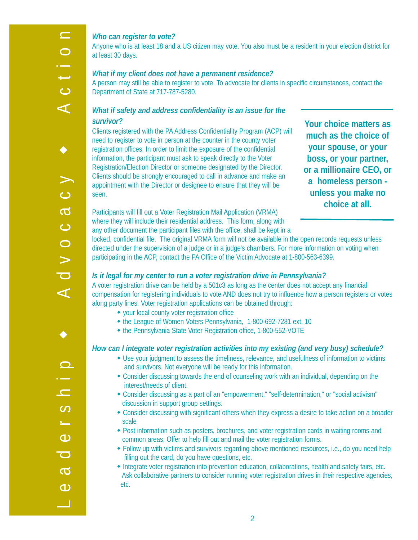$\equiv$ 

### *Who can register to vote?*

Anyone who is at least 18 and a US citizen may vote. You also must be a resident in your election district for at least 30 days.

#### *What if my client does not have a permanent residence?*

A person may still be able to register to vote. To advocate for clients in specific circumstances, contact the Department of State at 717-787-5280.

## *What if safety and address confidentiality is an issue for the survivor?*

Clients registered with the PA Address Confidentiality Program (ACP) will need to register to vote in person at the counter in the county voter registration offices. In order to limit the exposure of the confidential information, the participant must ask to speak directly to the Voter Registration/Election Director or someone designated by the Director. Clients should be strongly encouraged to call in advance and make an appointment with the Director or designee to ensure that they will be seen.

**Your choice matters as much as the choice of your spouse, or your boss, or your partner, or a millionaire CEO, or a homeless person unless you make no choice at all.**

Participants will fill out a Voter Registration Mail Application (VRMA) where they will include their residential address. This form, along with any other document the participant files with the office, shall be kept in a

locked, confidential file. The original VRMA form will not be available in the open records requests unless directed under the supervision of a judge or in a judge's chambers. For more information on voting when participating in the ACP, contact the PA Office of the Victim Advocate at 1-800-563-6399.

#### *Is it legal for my center to run a voter registration drive in Pennsylvania?*

A voter registration drive can be held by a 501c3 as long as the center does not accept any financial compensation for registering individuals to vote AND does not try to influence how a person registers or votes along party lines. Voter registration applications can be obtained through:

- your local county voter registration office
- the League of Women Voters Pennsylvania, 1-800-692-7281 ext. 10
- the Pennsylvania State Voter Registration office, 1-800-552-VOTE

#### *How can I integrate voter registration activities into my existing (and very busy) schedule?*

- Use your judgment to assess the timeliness, relevance, and usefulness of information to victims and survivors. Not everyone will be ready for this information.
- Consider discussing towards the end of counseling work with an individual, depending on the interest/needs of client.
- Consider discussing as a part of an "empowerment," "self-determination," or "social activism" discussion in support group settings.
- Consider discussing with significant others when they express a desire to take action on a broader scale
- Post information such as posters, brochures, and voter registration cards in waiting rooms and common areas. Offer to help fill out and mail the voter registration forms.
- Follow up with victims and survivors regarding above mentioned resources, i.e., do you need help filling out the card, do you have questions, etc.
- Integrate voter registration into prevention education, collaborations, health and safety fairs, etc. Ask collaborative partners to consider running voter registration drives in their respective agencies, etc.

2